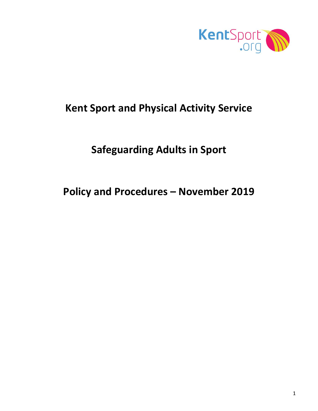

# **Kent Sport and Physical Activity Service**

# **Safeguarding Adults in Sport**

**Policy and Procedures – November 2019**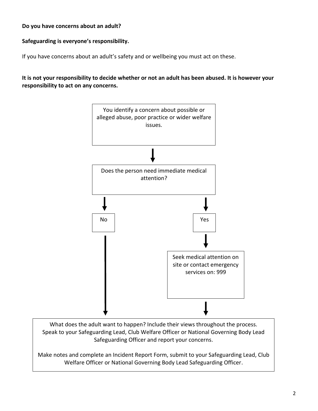#### **Do you have concerns about an adult?**

#### **Safeguarding is everyone's responsibility.**

If you have concerns about an adult's safety and or wellbeing you must act on these.

**It is not your responsibility to decide whether or not an adult has been abused. It is however your responsibility to act on any concerns.**



What does the adult want to happen? Include their views throughout the process. Speak to your Safeguarding Lead, Club Welfare Officer or National Governing Body Lead Safeguarding Officer and report your concerns.

Make notes and complete an Incident Report Form, submit to your Safeguarding Lead, Club Welfare Officer or National Governing Body Lead Safeguarding Officer.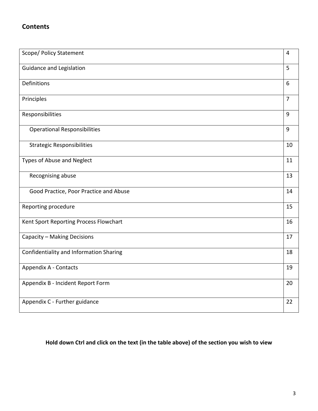## **Contents**

| Scope/ Policy Statement                 | $\overline{4}$ |
|-----------------------------------------|----------------|
| <b>Guidance and Legislation</b>         | 5              |
| Definitions                             | 6              |
| Principles                              | $\overline{7}$ |
| Responsibilities                        | 9              |
| <b>Operational Responsibilities</b>     | 9              |
| <b>Strategic Responsibilities</b>       | 10             |
| Types of Abuse and Neglect              | 11             |
| Recognising abuse                       | 13             |
| Good Practice, Poor Practice and Abuse  | 14             |
| Reporting procedure                     | 15             |
| Kent Sport Reporting Process Flowchart  | 16             |
| Capacity - Making Decisions             | 17             |
| Confidentiality and Information Sharing | 18             |
| Appendix A - Contacts                   | 19             |
| Appendix B - Incident Report Form       | 20             |
| Appendix C - Further guidance           | 22             |

## <span id="page-2-0"></span>**Hold down Ctrl and click on the text (in the table above) of the section you wish to view**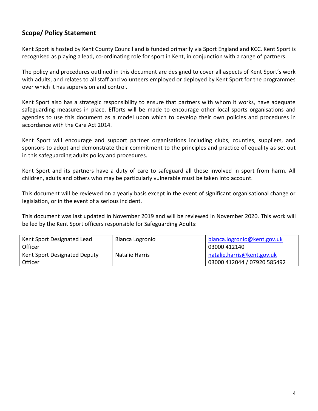## <span id="page-3-0"></span>**Scope/ Policy Statement**

Kent Sport is hosted by Kent County Council and is funded primarily via Sport England and KCC. Kent Sport is recognised as playing a lead, co-ordinating role for sport in Kent, in conjunction with a range of partners.

The policy and procedures outlined in this document are designed to cover all aspects of Kent Sport's work with adults, and relates to all staff and volunteers employed or deployed by Kent Sport for the programmes over which it has supervision and control.

Kent Sport also has a strategic responsibility to ensure that partners with whom it works, have adequate safeguarding measures in place. Efforts will be made to encourage other local sports organisations and agencies to use this document as a model upon which to develop their own policies and procedures in accordance with the Care Act 2014.

Kent Sport will encourage and support partner organisations including clubs, counties, suppliers, and sponsors to adopt and demonstrate their commitment to the principles and practice of equality as set out in this safeguarding adults policy and procedures.

Kent Sport and its partners have a duty of care to safeguard all those involved in sport from harm. All children, adults and others who may be particularly vulnerable must be taken into account.

This document will be reviewed on a yearly basis except in the event of significant organisational change or legislation, or in the event of a serious incident.

This document was last updated in November 2019 and will be reviewed in November 2020. This work will be led by the Kent Sport officers responsible for Safeguarding Adults:

| Kent Sport Designated Lead<br>Officer | Bianca Logronio | bianca.logronio@kent.gov.uk<br>03000 412140 |
|---------------------------------------|-----------------|---------------------------------------------|
| Kent Sport Designated Deputy          | Natalie Harris  | natalie.harris@kent.gov.uk                  |
| Officer                               |                 | 03000 412044 / 07920 585492                 |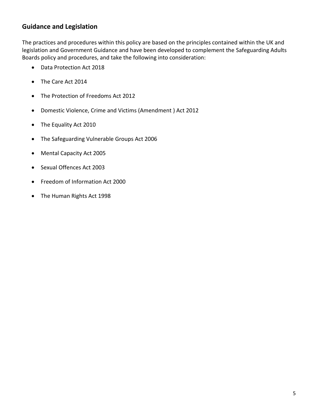## <span id="page-4-0"></span>**Guidance and Legislation**

The practices and procedures within this policy are based on the principles contained within the UK and legislation and Government Guidance and have been developed to complement the Safeguarding Adults Boards policy and procedures, and take the following into consideration:

- Data Protection Act 2018
- The Care Act 2014
- The Protection of Freedoms Act 2012
- Domestic Violence, Crime and Victims (Amendment ) Act 2012
- The Equality Act 2010
- The Safeguarding Vulnerable Groups Act 2006
- Mental Capacity Act 2005
- Sexual Offences Act 2003
- Freedom of Information Act 2000
- The Human Rights Act 1998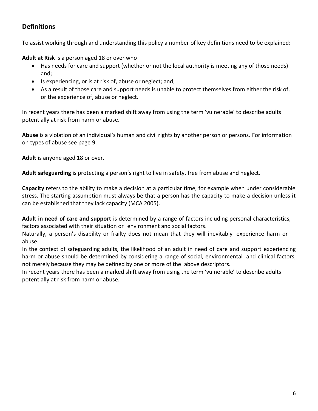## <span id="page-5-0"></span>**Definitions**

To assist working through and understanding this policy a number of key definitions need to be explained:

**Adult at Risk** is a person aged 18 or over who

- Has needs for care and support (whether or not the local authority is meeting any of those needs) and;
- Is experiencing, or is at risk of, abuse or neglect; and;
- As a result of those care and support needs is unable to protect themselves from either the risk of, or the experience of, abuse or neglect.

In recent years there has been a marked shift away from using the term 'vulnerable' to describe adults potentially at risk from harm or abuse.

**Abuse** is a violation of an individual's human and civil rights by another person or persons. For information on types of abuse see page 9.

**Adult** is anyone aged 18 or over.

**Adult safeguarding** is protecting a person's right to live in safety, free from abuse and neglect.

**Capacity** refers to the ability to make a decision at a particular time, for example when under considerable stress. The starting assumption must always be that a person has the capacity to make a decision unless it can be established that they lack capacity (MCA 2005).

**Adult in need of care and support** is determined by a range of factors including personal characteristics, factors associated with their situation or environment and social factors.

Naturally, a person's disability or frailty does not mean that they will inevitably experience harm or abuse.

In the context of safeguarding adults, the likelihood of an adult in need of care and support experiencing harm or abuse should be determined by considering a range of social, environmental and clinical factors, not merely because they may be defined by one or more of the above descriptors.

In recent years there has been a marked shift away from using the term 'vulnerable' to describe adults potentially at risk from harm or abuse.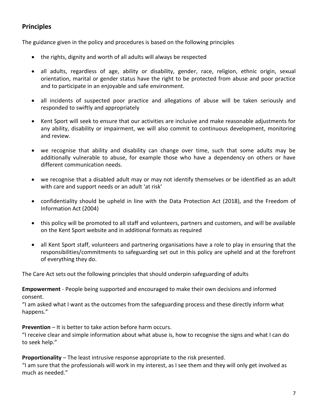## <span id="page-6-0"></span>**Principles**

The guidance given in the policy and procedures is based on the following principles

- the rights, dignity and worth of all adults will always be respected
- all adults, regardless of age, ability or disability, gender, race, religion, ethnic origin, sexual orientation, marital or gender status have the right to be protected from abuse and poor practice and to participate in an enjoyable and safe environment.
- all incidents of suspected poor practice and allegations of abuse will be taken seriously and responded to swiftly and appropriately
- Kent Sport will seek to ensure that our activities are inclusive and make reasonable adjustments for any ability, disability or impairment, we will also commit to continuous development, monitoring and review.
- we recognise that ability and disability can change over time, such that some adults may be additionally vulnerable to abuse, for example those who have a dependency on others or have different communication needs.
- we recognise that a disabled adult may or may not identify themselves or be identified as an adult with care and support needs or an adult 'at risk'
- confidentiality should be upheld in line with the Data Protection Act (2018), and the Freedom of Information Act (2004)
- this policy will be promoted to all staff and volunteers, partners and customers, and will be available on the Kent Sport website and in additional formats as required
- all Kent Sport staff, volunteers and partnering organisations have a role to play in ensuring that the responsibilities/commitments to safeguarding set out in this policy are upheld and at the forefront of everything they do.

The Care Act sets out the following principles that should underpin safeguarding of adults

**Empowerment** - People being supported and encouraged to make their own decisions and informed consent.

"I am asked what I want as the outcomes from the safeguarding process and these directly inform what happens."

**Prevention** – It is better to take action before harm occurs.

"I receive clear and simple information about what abuse is, how to recognise the signs and what I can do to seek help."

**Proportionality** – The least intrusive response appropriate to the risk presented.

"I am sure that the professionals will work in my interest, as I see them and they will only get involved as much as needed."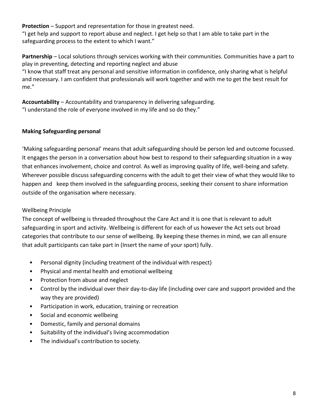**Protection** – Support and representation for those in greatest need. "I get help and support to report abuse and neglect. I get help so that I am able to take part in the safeguarding process to the extent to which I want."

**Partnership** – Local solutions through services working with their communities. Communities have a part to play in preventing, detecting and reporting neglect and abuse

"I know that staff treat any personal and sensitive information in confidence, only sharing what is helpful and necessary. I am confident that professionals will work together and with me to get the best result for me."

**Accountability** – Accountability and transparency in delivering safeguarding. "I understand the role of everyone involved in my life and so do they."

#### **Making Safeguarding personal**

'Making safeguarding personal' means that adult safeguarding should be person led and outcome focussed. It engages the person in a conversation about how best to respond to their safeguarding situation in a way that enhances involvement, choice and control. As well as improving quality of life, well-being and safety. Wherever possible discuss safeguarding concerns with the adult to get their view of what they would like to happen and keep them involved in the safeguarding process, seeking their consent to share information outside of the organisation where necessary.

## Wellbeing Principle

The concept of wellbeing is threaded throughout the Care Act and it is one that is relevant to adult safeguarding in sport and activity. Wellbeing is different for each of us however the Act sets out broad categories that contribute to our sense of wellbeing. By keeping these themes in mind, we can all ensure that adult participants can take part in (Insert the name of your sport) fully.

- Personal dignity (including treatment of the individual with respect)
- Physical and mental health and emotional wellbeing
- Protection from abuse and neglect
- Control by the individual over their day-to-day life (including over care and support provided and the way they are provided)
- Participation in work, education, training or recreation
- Social and economic wellbeing
- Domestic, family and personal domains
- Suitability of the individual's living accommodation
- The individual's contribution to society.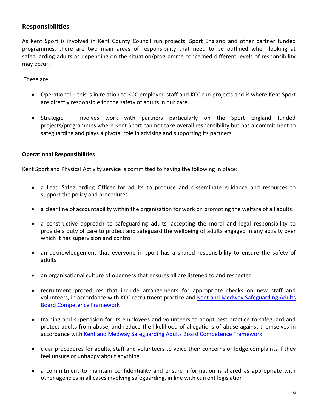## <span id="page-8-0"></span>**Responsibilities**

As Kent Sport is involved in Kent County Council run projects, Sport England and other partner funded programmes, there are two main areas of responsibility that need to be outlined when looking at safeguarding adults as depending on the situation/programme concerned different levels of responsibility may occur.

These are:

- Operational this is in relation to KCC employed staff and KCC run projects and is where Kent Sport are directly responsible for the safety of adults in our care
- Strategic involves work with partners particularly on the Sport England funded projects/programmes where Kent Sport can not take overall responsibility but has a commitment to safeguarding and plays a pivotal role in advising and supporting its partners

#### <span id="page-8-1"></span>**Operational Responsibilities**

Kent Sport and Physical Activity service is committed to having the following in place:

- a Lead Safeguarding Officer for adults to produce and disseminate guidance and resources to support the policy and procedures
- a clear line of accountability within the organisation for work on promoting the welfare of all adults.
- a constructive approach to safeguarding adults, accepting the moral and legal responsibility to provide a duty of care to protect and safeguard the wellbeing of adults engaged in any activity over which it has supervision and control
- an acknowledgement that everyone in sport has a shared responsibility to ensure the safety of adults
- an organisational culture of openness that ensures all are listened to and respected
- recruitment procedures that include arrangements for appropriate checks on new staff and volunteers, in accordance with KCC recruitment practice and Kent and Medway [Safeguarding Adults](https://www.kent.gov.uk/__data/assets/pdf_file/0018/14535/Kent-and-Medway-Safeguarding-Adults-Board-Competence-Framework.pdf)  [Board Competence Framework](https://www.kent.gov.uk/__data/assets/pdf_file/0018/14535/Kent-and-Medway-Safeguarding-Adults-Board-Competence-Framework.pdf)
- training and supervision for its employees and volunteers to adopt best practice to safeguard and protect adults from abuse, and reduce the likelihood of allegations of abuse against themselves in accordance with Kent and Medway [Safeguarding Adults Board Competence Framework](https://www.kent.gov.uk/__data/assets/pdf_file/0018/14535/Kent-and-Medway-Safeguarding-Adults-Board-Competence-Framework.pdf)
- clear procedures for adults, staff and volunteers to voice their concerns or lodge complaints if they feel unsure or unhappy about anything
- a commitment to maintain confidentiality and ensure information is shared as appropriate with other agencies in all cases involving safeguarding, in line with current legislation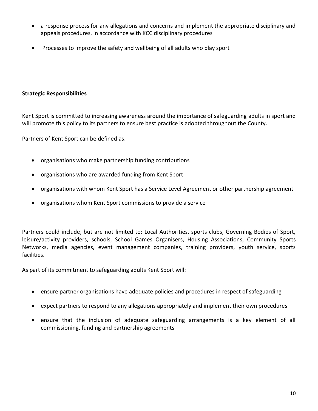- a response process for any allegations and concerns and implement the appropriate disciplinary and appeals procedures, in accordance with KCC disciplinary procedures
- Processes to improve the safety and wellbeing of all adults who play sport

#### <span id="page-9-0"></span>**Strategic Responsibilities**

Kent Sport is committed to increasing awareness around the importance of safeguarding adults in sport and will promote this policy to its partners to ensure best practice is adopted throughout the County.

Partners of Kent Sport can be defined as:

- organisations who make partnership funding contributions
- organisations who are awarded funding from Kent Sport
- organisations with whom Kent Sport has a Service Level Agreement or other partnership agreement
- organisations whom Kent Sport commissions to provide a service

Partners could include, but are not limited to: Local Authorities, sports clubs, Governing Bodies of Sport, leisure/activity providers, schools, School Games Organisers, Housing Associations, Community Sports Networks, media agencies, event management companies, training providers, youth service, sports facilities.

As part of its commitment to safeguarding adults Kent Sport will:

- ensure partner organisations have adequate policies and procedures in respect of safeguarding
- expect partners to respond to any allegations appropriately and implement their own procedures
- ensure that the inclusion of adequate safeguarding arrangements is a key element of all commissioning, funding and partnership agreements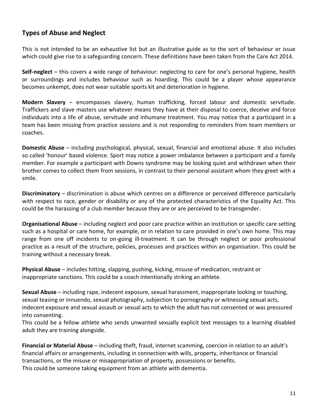## <span id="page-10-0"></span>**Types of Abuse and Neglect**

This is not intended to be an exhaustive list but an illustrative guide as to the sort of behaviour or issue which could give rise to a safeguarding concern. These definitions have been taken from the Care Act 2014.

**Self-neglect** – this covers a wide range of behaviour: neglecting to care for one's personal hygiene, health or surroundings and includes behaviour such as hoarding. This could be a player whose appearance becomes unkempt, does not wear suitable sports kit and deterioration in hygiene.

**Modern Slavery** – encompasses slavery, human trafficking, forced labour and domestic servitude. Traffickers and slave masters use whatever means they have at their disposal to coerce, deceive and force individuals into a life of abuse, servitude and inhumane treatment. You may notice that a participant in a team has been missing from practice sessions and is not responding to reminders from team members or coaches.

**Domestic Abuse** – including psychological, physical, sexual, financial and emotional abuse. It also includes so called 'honour' based violence. Sport may notice a power imbalance between a participant and a family member. For example a participant with Downs syndrome may be looking quiet and withdrawn when their brother comes to collect them from sessions, in contrast to their personal assistant whom they greet with a smile.

**Discriminatory** – discrimination is abuse which centres on a difference or perceived difference particularly with respect to race, gender or disability or any of the protected characteristics of the Equality Act. This could be the harassing of a club member because they are or are perceived to be transgender.

**Organisational Abuse** – including neglect and poor care practice within an institution or specific care setting such as a hospital or care home, for example, or in relation to care provided in one's own home. This may range from one off incidents to on-going ill-treatment. It can be through neglect or poor professional practice as a result of the structure, policies, processes and practices within an organisation. This could be training without a necessary break.

**Physical Abuse** – includes hitting, slapping, pushing, kicking, misuse of medication, restraint or inappropriate sanctions. This could be a coach intentionally striking an athlete.

**Sexual Abuse** – including rape, indecent exposure, sexual harassment, inappropriate looking or touching, sexual teasing or innuendo, sexual photography, subjection to pornography or witnessing sexual acts, indecent exposure and sexual assault or sexual acts to which the adult has not consented or was pressured into consenting.

This could be a fellow athlete who sends unwanted sexually explicit text messages to a learning disabled adult they are training alongside.

**Financial or Material Abuse** – including theft, fraud, internet scamming, coercion in relation to an adult's financial affairs or arrangements, including in connection with wills, property, inheritance or financial transactions, or the misuse or misappropriation of property, possessions or benefits. This could be someone taking equipment from an athlete with dementia.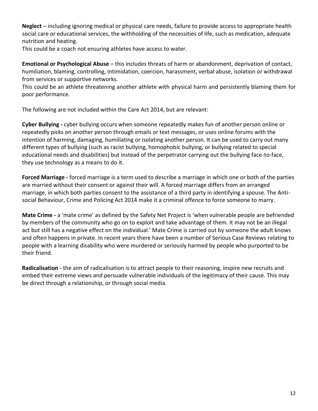**Neglect** – including ignoring medical or physical care needs, failure to provide access to appropriate health social care or educational services, the withholding of the necessities of life, such as medication, adequate nutrition and heating.

This could be a coach not ensuring athletes have access to water.

**Emotional or Psychological Abuse** – this includes threats of harm or abandonment, deprivation of contact, humiliation, blaming, controlling, intimidation, coercion, harassment, verbal abuse, isolation or withdrawal from services or supportive networks.

This could be an athlete threatening another athlete with physical harm and persistently blaming them for poor performance.

The following are not included within the Care Act 2014, but are relevant:

**Cyber Bullying -** cyber bullying occurs when someone repeatedly makes fun of another person online or repeatedly picks on another person through emails or text messages, or uses online forums with the intention of harming, damaging, humiliating or isolating another person. It can be used to carry out many different types of bullying (such as racist bullying, homophobic bullying, or bullying related to special educational needs and disabilities) but instead of the perpetrator carrying out the bullying face-to-face, they use technology as a means to do it.

**Forced Marriage -** forced marriage is a term used to describe a marriage in which one or both of the parties are married without their consent or against their will. A forced marriage differs from an arranged marriage, in which both parties consent to the assistance of a third party in identifying a spouse. The Antisocial Behaviour, Crime and Policing Act 2014 make it a criminal offence to force someone to marry.

**Mate Crime -** a 'mate crime' as defined by the Safety Net Project is 'when vulnerable people are befriended by members of the community who go on to exploit and take advantage of them. It may not be an illegal act but still has a negative effect on the individual.' Mate Crime is carried out by someone the adult knows and often happens in private. In recent years there have been a number of Serious Case Reviews relating to people with a learning disability who were murdered or seriously harmed by people who purported to be their friend.

**Radicalisation -** the aim of radicalisation is to attract people to their reasoning, inspire new recruits and embed their extreme views and persuade vulnerable individuals of the legitimacy of their cause. This may be direct through a relationship, or through social media.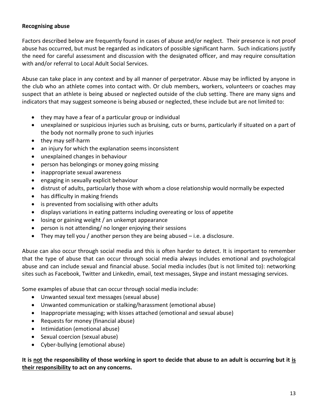#### <span id="page-12-0"></span>**Recognising abuse**

Factors described below are frequently found in cases of abuse and/or neglect. Their presence is not proof abuse has occurred, but must be regarded as indicators of possible significant harm. Such indications justify the need for careful assessment and discussion with the designated officer, and may require consultation with and/or referral to Local Adult Social Services.

Abuse can take place in any context and by all manner of perpetrator. Abuse may be inflicted by anyone in the club who an athlete comes into contact with. Or club members, workers, volunteers or coaches may suspect that an athlete is being abused or neglected outside of the club setting. There are many signs and indicators that may suggest someone is being abused or neglected, these include but are not limited to:

- they may have a fear of a particular group or individual
- unexplained or suspicious injuries such as bruising, cuts or burns, particularly if situated on a part of the body not normally prone to such injuries
- they may self-harm
- an injury for which the explanation seems inconsistent
- unexplained changes in behaviour
- person has belongings or money going missing
- inappropriate sexual awareness
- engaging in sexually explicit behaviour
- distrust of adults, particularly those with whom a close relationship would normally be expected
- has difficulty in making friends
- is prevented from socialising with other adults
- displays variations in eating patterns including overeating or loss of appetite
- losing or gaining weight / an unkempt appearance
- person is not attending/ no longer enjoying their sessions
- They may tell you / another person they are being abused i.e. a disclosure.

Abuse can also occur through social media and this is often harder to detect. It is important to remember that the type of abuse that can occur through social media always includes emotional and psychological abuse and can include sexual and financial abuse. Social media includes (but is not limited to): networking sites such as Facebook, Twitter and LinkedIn, email, text messages, Skype and instant messaging services.

Some examples of abuse that can occur through social media include:

- Unwanted sexual text messages (sexual abuse)
- Unwanted communication or stalking/harassment (emotional abuse)
- Inappropriate messaging; with kisses attached (emotional and sexual abuse)
- Requests for money (financial abuse)
- Intimidation (emotional abuse)
- Sexual coercion (sexual abuse)
- Cyber-bullying (emotional abuse)

**It is not the responsibility of those working in sport to decide that abuse to an adult is occurring but it is their responsibility to act on any concerns.**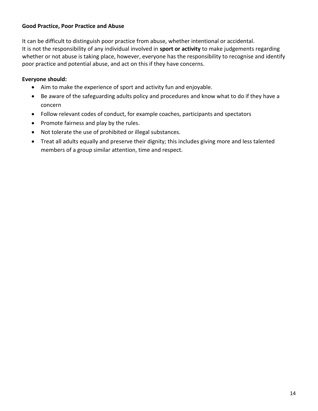#### <span id="page-13-0"></span>**Good Practice, Poor Practice and Abuse**

It can be difficult to distinguish poor practice from abuse, whether intentional or accidental. It is not the responsibility of any individual involved in **sport or activity** to make judgements regarding whether or not abuse is taking place, however, everyone has the responsibility to recognise and identify poor practice and potential abuse, and act on this if they have concerns.

#### **Everyone should:**

- Aim to make the experience of sport and activity fun and enjoyable.
- Be aware of the safeguarding adults policy and procedures and know what to do if they have a concern
- Follow relevant codes of conduct, for example coaches, participants and spectators
- Promote fairness and play by the rules.
- Not tolerate the use of prohibited or illegal substances.
- Treat all adults equally and preserve their dignity; this includes giving more and less talented members of a group similar attention, time and respect.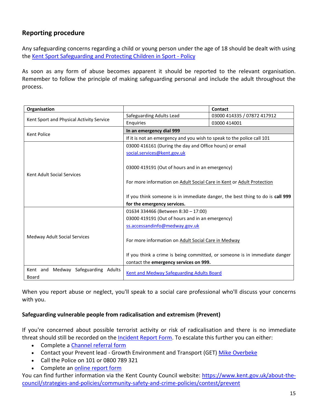## <span id="page-14-0"></span>**Reporting procedure**

Any safeguarding concerns regarding a child or young person under the age of 18 should be dealt with using the [Kent Sport Safeguarding and Protecting Children in Sport -](https://www.kentsport.org/make-sport-happen/safeguarding/safeguarding-protecting-children-sport-policy-statement/) Policy

As soon as any form of abuse becomes apparent it should be reported to the relevant organisation. Remember to follow the principle of making safeguarding personal and include the adult throughout the process.

| Organisation                                 |                                                                                                                          | Contact                     |  |
|----------------------------------------------|--------------------------------------------------------------------------------------------------------------------------|-----------------------------|--|
|                                              | Safeguarding Adults Lead                                                                                                 | 03000 414335 / 07872 417912 |  |
| Kent Sport and Physical Activity Service     | Enquiries                                                                                                                | 03000 414001                |  |
| <b>Kent Police</b>                           | In an emergency dial 999                                                                                                 |                             |  |
|                                              | If it is not an emergency and you wish to speak to the police call 101                                                   |                             |  |
|                                              | 03000 416161 (During the day and Office hours) or email                                                                  |                             |  |
|                                              | social.services@kent.gov.uk                                                                                              |                             |  |
| Kent Adult Social Services                   | 03000 419191 (Out of hours and in an emergency)<br>For more information on Adult Social Care in Kent or Adult Protection |                             |  |
|                                              | If you think someone is in immediate danger, the best thing to do is call 999<br>for the emergency services.             |                             |  |
|                                              | 01634 334466 (Between 8:30 - 17:00)                                                                                      |                             |  |
|                                              | 03000 419191 (Out of hours and in an emergency)                                                                          |                             |  |
|                                              | ss.accessandinfo@medway.gov.uk                                                                                           |                             |  |
| Medway Adult Social Services                 | For more information on Adult Social Care in Medway                                                                      |                             |  |
|                                              | If you think a crime is being committed, or someone is in immediate danger                                               |                             |  |
|                                              | contact the emergency services on 999.                                                                                   |                             |  |
| Kent and Medway Safeguarding Adults<br>Board | <b>Kent and Medway Safeguarding Adults Board</b>                                                                         |                             |  |

When you report abuse or neglect, you'll speak to a social care professional who'll discuss your concerns with you.

#### **Safeguarding vulnerable people from radicalisation and extremism (Prevent)**

If you're concerned about possible terrorist activity or risk of radicalisation and there is no immediate threat should still be recorded on the [Incident Report Form.](#page-2-0) To escalate this further you can either:

- Complete a [Channel referral form](https://www.kscb.org.uk/guidance/extremism-and-radicalisation2)
- Contact your Prevent lead Growth Environment and Transport (GET) [Mike Overbeke](mailto:mike.overbeke@kent.gov.uk)
- Call the Police on 101 or 0800 789 321
- Complete an [online report form](https://beta.met.police.uk/tell-us-about/possible-terrorist-activity/report-possible-terrorist-activity/)

You can find further information via the Kent County Council website: [https://www.kent.gov.uk/about-the](https://www.kent.gov.uk/about-the-council/strategies-and-policies/community-safety-and-crime-policies/contest/prevent)[council/strategies-and-policies/community-safety-and-crime-policies/contest/prevent](https://www.kent.gov.uk/about-the-council/strategies-and-policies/community-safety-and-crime-policies/contest/prevent)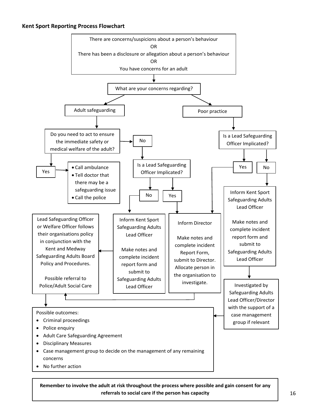#### <span id="page-15-0"></span>**Kent Sport Reporting Process Flowchart Kent Sport Reporting Process Flowchart**



**Remember to involve the adult at risk throughout the process where possible and gain consent for any referrals to social care if the person has capacity**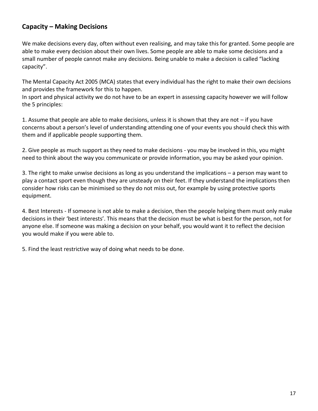## <span id="page-16-0"></span>**Capacity – Making Decisions**

We make decisions every day, often without even realising, and may take this for granted. Some people are able to make every decision about their own lives. Some people are able to make some decisions and a small number of people cannot make any decisions. Being unable to make a decision is called "lacking capacity".

The Mental Capacity Act 2005 (MCA) states that every individual has the right to make their own decisions and provides the framework for this to happen.

In sport and physical activity we do not have to be an expert in assessing capacity however we will follow the 5 principles:

1. Assume that people are able to make decisions, unless it is shown that they are not – if you have concerns about a person's level of understanding attending one of your events you should check this with them and if applicable people supporting them.

2. Give people as much support as they need to make decisions - you may be involved in this, you might need to think about the way you communicate or provide information, you may be asked your opinion.

3. The right to make unwise decisions as long as you understand the implications – a person may want to play a contact sport even though they are unsteady on their feet. If they understand the implications then consider how risks can be minimised so they do not miss out, for example by using protective sports equipment.

4. Best Interests - If someone is not able to make a decision, then the people helping them must only make decisions in their 'best interests'. This means that the decision must be what is best for the person, not for anyone else. If someone was making a decision on your behalf, you would want it to reflect the decision you would make if you were able to.

5. Find the least restrictive way of doing what needs to be done.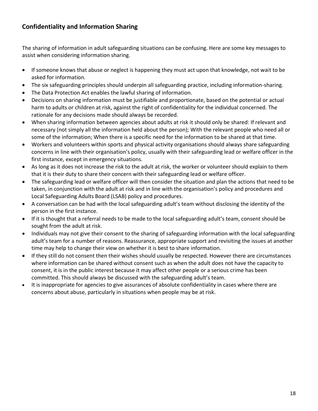## <span id="page-17-0"></span>**Confidentiality and Information Sharing**

The sharing of information in adult safeguarding situations can be confusing. Here are some key messages to assist when considering information sharing.

- If someone knows that abuse or neglect is happening they must act upon that knowledge, not wait to be asked for information.
- The six safeguarding principles should underpin all safeguarding practice, including information-sharing.
- The Data Protection Act enables the lawful sharing of information.
- Decisions on sharing information must be justifiable and proportionate, based on the potential or actual harm to adults or children at risk, against the right of confidentiality for the individual concerned. The rationale for any decisions made should always be recorded.
- When sharing information between agencies about adults at risk it should only be shared: If relevant and necessary (not simply all the information held about the person); With the relevant people who need all or some of the information; When there is a specific need for the information to be shared at that time.
- Workers and volunteers within sports and physical activity organisations should always share safeguarding concerns in line with their organisation's policy, usually with their safeguarding lead or welfare officer in the first instance, except in emergency situations.
- As long as it does not increase the risk to the adult at risk, the worker or volunteer should explain to them that it is their duty to share their concern with their safeguarding lead or welfare officer.
- The safeguarding lead or welfare officer will then consider the situation and plan the actions that need to be taken, in conjunction with the adult at risk and in line with the organisation's policy and procedures and Local Safeguarding Adults Board (LSAB) policy and procedures.
- A conversation can be had with the local safeguarding adult's team without disclosing the identity of the person in the first instance.
- If it is thought that a referral needs to be made to the local safeguarding adult's team, consent should be sought from the adult at risk.
- Individuals may not give their consent to the sharing of safeguarding information with the local safeguarding adult's team for a number of reasons. Reassurance, appropriate support and revisiting the issues at another time may help to change their view on whether it is best to share information.
- If they still do not consent then their wishes should usually be respected. However there are circumstances where information can be shared without consent such as when the adult does not have the capacity to consent, it is in the public interest because it may affect other people or a serious crime has been committed. This should always be discussed with the safeguarding adult's team.
- It is inappropriate for agencies to give assurances of absolute confidentiality in cases where there are concerns about abuse, particularly in situations when people may be at risk.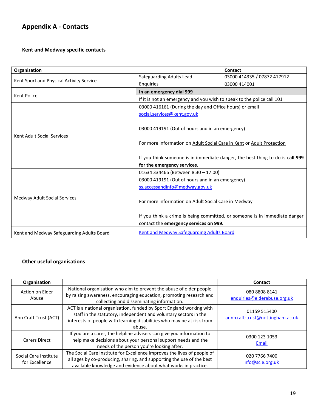## <span id="page-18-0"></span>**Appendix A - Contacts**

## **Kent and Medway specific contacts**

| Organisation                              |                                                                               | Contact                     |  |
|-------------------------------------------|-------------------------------------------------------------------------------|-----------------------------|--|
|                                           | Safeguarding Adults Lead                                                      | 03000 414335 / 07872 417912 |  |
| Kent Sport and Physical Activity Service  | Enquiries                                                                     | 03000 414001                |  |
| <b>Kent Police</b>                        | In an emergency dial 999                                                      |                             |  |
|                                           | If it is not an emergency and you wish to speak to the police call 101        |                             |  |
| <b>Kent Adult Social Services</b>         | 03000 416161 (During the day and Office hours) or email                       |                             |  |
|                                           | social.services@kent.gov.uk                                                   |                             |  |
|                                           | 03000 419191 (Out of hours and in an emergency)                               |                             |  |
|                                           | For more information on Adult Social Care in Kent or Adult Protection         |                             |  |
|                                           | If you think someone is in immediate danger, the best thing to do is call 999 |                             |  |
|                                           | for the emergency services.                                                   |                             |  |
|                                           | 01634 334466 (Between 8:30 - 17:00)                                           |                             |  |
|                                           | 03000 419191 (Out of hours and in an emergency)                               |                             |  |
| Medway Adult Social Services              | ss.accessandinfo@medway.gov.uk                                                |                             |  |
|                                           | For more information on Adult Social Care in Medway                           |                             |  |
|                                           | If you think a crime is being committed, or someone is in immediate danger    |                             |  |
|                                           | contact the emergency services on 999.                                        |                             |  |
| Kent and Medway Safeguarding Adults Board | <b>Kent and Medway Safeguarding Adults Board</b>                              |                             |  |

## **Other useful organisations**

| Organisation                            |                                                                                                                                                                                                                              | <b>Contact</b>                                   |
|-----------------------------------------|------------------------------------------------------------------------------------------------------------------------------------------------------------------------------------------------------------------------------|--------------------------------------------------|
| Action on Elder<br>Abuse                | National organisation who aim to prevent the abuse of older people<br>by raising awareness, encouraging education, promoting research and<br>collecting and disseminating information.                                       | 080 8808 8141<br>enquiries@elderabuse.org.uk     |
| Ann Craft Trust (ACT)                   | ACT is a national organisation, funded by Sport England working with<br>staff in the statutory, independent and voluntary sectors in the<br>interests of people with learning disabilities who may be at risk from<br>abuse. | 01159 515400<br>ann-craft-trust@nottingham.ac.uk |
| Carers Direct                           | If you are a carer, the helpline advisers can give you information to<br>help make decisions about your personal support needs and the<br>needs of the person you're looking after.                                          | 0300 123 1053<br>Email                           |
| Social Care Institute<br>for Excellence | The Social Care Institute for Excellence improves the lives of people of<br>all ages by co-producing, sharing, and supporting the use of the best<br>available knowledge and evidence about what works in practice.          | 020 7766 7400<br>info@scie.org.uk                |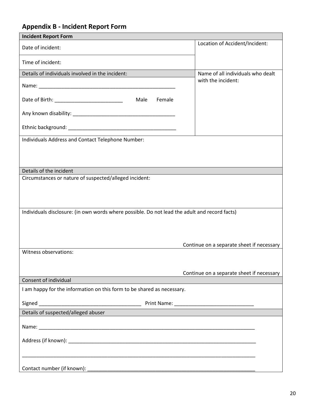## <span id="page-19-0"></span>**Appendix B - Incident Report Form**

| <b>Incident Report Form</b>                                                                   |                                           |  |  |
|-----------------------------------------------------------------------------------------------|-------------------------------------------|--|--|
| Date of incident:                                                                             | Location of Accident/Incident:            |  |  |
| Time of incident:                                                                             |                                           |  |  |
| Details of individuals involved in the incident:                                              | Name of all individuals who dealt         |  |  |
|                                                                                               | with the incident:                        |  |  |
| Female<br>Male                                                                                |                                           |  |  |
|                                                                                               |                                           |  |  |
|                                                                                               |                                           |  |  |
| Individuals Address and Contact Telephone Number:                                             |                                           |  |  |
|                                                                                               |                                           |  |  |
| Details of the incident                                                                       |                                           |  |  |
| Circumstances or nature of suspected/alleged incident:                                        |                                           |  |  |
|                                                                                               |                                           |  |  |
| Individuals disclosure: (in own words where possible. Do not lead the adult and record facts) |                                           |  |  |
|                                                                                               |                                           |  |  |
|                                                                                               | Continue on a separate sheet if necessary |  |  |
| Witness observations:                                                                         |                                           |  |  |
|                                                                                               | Continue on a separate sheet if necessary |  |  |
| Consent of individual                                                                         |                                           |  |  |
| I am happy for the information on this form to be shared as necessary.                        |                                           |  |  |
|                                                                                               |                                           |  |  |
| Details of suspected/alleged abuser                                                           |                                           |  |  |
|                                                                                               |                                           |  |  |
|                                                                                               |                                           |  |  |
|                                                                                               |                                           |  |  |
|                                                                                               |                                           |  |  |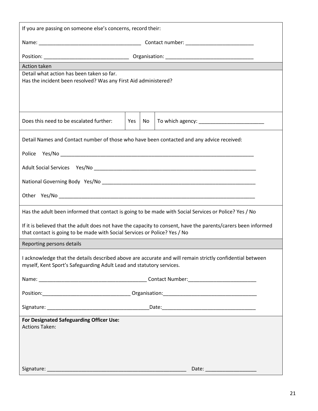| If you are passing on someone else's concerns, record their:                                                                                                                               |     |     |  |
|--------------------------------------------------------------------------------------------------------------------------------------------------------------------------------------------|-----|-----|--|
|                                                                                                                                                                                            |     |     |  |
|                                                                                                                                                                                            |     |     |  |
| Action taken                                                                                                                                                                               |     |     |  |
| Detail what action has been taken so far.<br>Has the incident been resolved? Was any First Aid administered?                                                                               |     |     |  |
| Does this need to be escalated further:                                                                                                                                                    | Yes | No. |  |
| Detail Names and Contact number of those who have been contacted and any advice received:                                                                                                  |     |     |  |
|                                                                                                                                                                                            |     |     |  |
|                                                                                                                                                                                            |     |     |  |
|                                                                                                                                                                                            |     |     |  |
| Has the adult been informed that contact is going to be made with Social Services or Police? Yes / No                                                                                      |     |     |  |
| If it is believed that the adult does not have the capacity to consent, have the parents/carers been informed<br>that contact is going to be made with Social Services or Police? Yes / No |     |     |  |
| Reporting persons details                                                                                                                                                                  |     |     |  |
| I acknowledge that the details described above are accurate and will remain strictly confidential between<br>myself, Kent Sport's Safeguarding Adult Lead and statutory services.          |     |     |  |
|                                                                                                                                                                                            |     |     |  |
|                                                                                                                                                                                            |     |     |  |
|                                                                                                                                                                                            |     |     |  |
| For Designated Safeguarding Officer Use:<br><b>Actions Taken:</b>                                                                                                                          |     |     |  |
|                                                                                                                                                                                            |     |     |  |